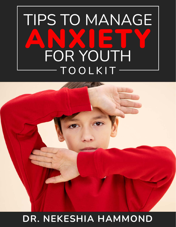



DR. NEKESHIA HAMMOND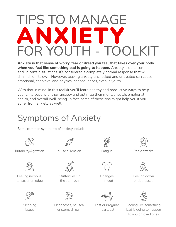# TIPS TO MANAGE ANXIE' FOR YOUTH - TOOLKIT

Anxiety is that sense of worry, fear or dread you feel that takes over your body when you feel like something bad is going to happen. Anxiety is quite common, and, in certain situations, it's considered a completely normal response that will diminish on its own. However, leaving anxiety unchecked and untreated can cause emotional, cognitive, and physical consequences, even in youth.

With that in mind, in this toolkit you'll learn healthy and productive ways to help your child cope with their anxiety and optimize their mental health, emotional health, and overall well-being. In fact, some of these tips might help you if you suffer from anxiety as well.

### Symptoms of Anxiety

Some common symptoms of anxiety include:



Irritability/Agitation Muscle Tension Patique Panic attacks



Feeling nervous, tense, or on edge



Sleeping issues

"Butterflies" in the stomach



Headaches, nausea, or stomach pain



Fatigue



Changes in mood



Fast or irregular heartbeat





Feeling down or depressed



Feeling like something bad is going to happen to you or loved ones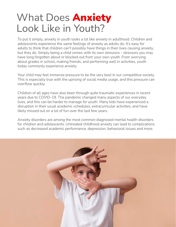## What Does **Anxiety** Look Like in Youth?

To put it simply, anxiety in youth looks a lot like anxiety in adulthood. Children and adolescents experience the same feelings of anxiety as adults do. It's easy for adults to think that children can't possibly have things in their lives causing anxiety, but they do. Simply being a child comes with its own stressors - stressors you may have long forgotten about or blocked out from your own youth. From worrying about grades in school, making friends, and performing well in activities, youth today commonly experience anxiety.

Your child may feel immense pressure to be the very best in our competitive society. This is especially true with the uprising of social media usage, and this pressure can overflow quickly.

Children of all ages have also been through quite traumatic experiences in recent years due to COVID-19. The pandemic changed many aspects of our everyday lives, and this can be harder to manage for youth. Many kids have experienced a disruption in their usual academic schedules, extracurricular activities, and have likely missed out on a lot of fun over the last few years.

Anxiety disorders are among the most common diagnosed mental health disorders for children and adolescents. Untreated childhood anxiety can lead to complications such as decreased academic performance, depression, behavioral issues and more.

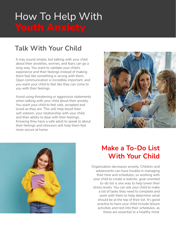# How To Help With

#### Talk With Your Child

It may sound simple, but talking with your child about their anxieties, worries, and fears can go a long way. You want to validate your child's experience and their feelings instead of making them feel like something is wrong with them. Open communication is incredibly important, and you want your child to feel like they can come to you with their feelings.

Avoid using threatening or aggressive statements when talking with your child about their anxiety. You want your child to feel safe, accepted and loved as they are. This will help boost their self-esteem, your relationship with your child, and their ability to deal with their feelings. Knowing they have a safe adult to speak to about their feelings and stressors will help them feel more secure at home.





#### Make a To-Do List With Your Child

Organization decreases anxiety. Children and adolescents can have trouble in managing their time and schedules, so working with your child to create a realistic, goal-oriented to-do list is one way to help lower their stress levels. You can ask your child to make a list of tasks they need to complete and work with them to help determine what should be at the top of their list. It's good practice to have your child include leisure activities and rest into their schedules, as these are essential to a healthy mind.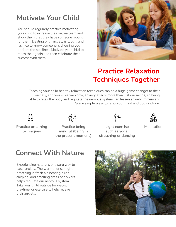#### Motivate Your Child

You should regularly practice motivating your child to increase their self-esteem and show them that they have someone rooting for them. Dealing with anxiety is tough, and it's nice to know someone is cheering you on from the sidelines. Motivate your child to reach their goals and then celebrate their success with them!



#### Practice Relaxation Techniques Together

Teaching your child healthy relaxation techniques can be a huge game changer to their anxiety, and yours! As we know, anxiety affects more than just our minds, so being able to relax the body and regulate the nervous system can lessen anxiety immensely. Some simple ways to relax your mind and body include:



Practice breathing techniques



Practice being mindful (being in the present moment)



Light exercise such as yoga, stretching or dancing



Meditation

#### Connect With Nature

Experiencing nature is one sure way to ease anxiety. The warmth of sunlight, breathing in fresh air, hearing birds chirping, and smelling grass or flowers helps regulate our nervous system. Take your child outside for walks, playtime, or exercise to help relieve their anxiety.

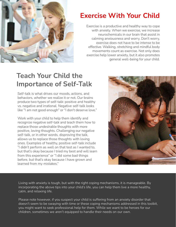

#### Exercise With Your Child

Exercise is a productive and healthy way to cope with anxiety. When we exercise, we increase neurochemicals in our brain that assist in calming anxiousness and worry. Don't worry, exercise does not have to be intense to be effective. Walking, stretching and mindful body movements count as exercise. Not only does exercise help lower anxiety, but it also promotes general well-being for your child.

#### Teach Your Child the Importance of Self-Talk

Self-talk is what drives our moods, actions, and behaviors, whether we realize it or not. Our brains produce two types of self-talk: positive and healthy vs. negative and irrational. Negative self-talk looks like "I am not good enough" or "I don't deserve love."

Work with your child to help them identify and recognize negative self-talk and teach them how to replace those undesirable thoughts with more positive, loving thoughts. Challenging our negative self-talk, or in other words, disproving the talk, allows us to replace those thoughts with loving ones. Examples of healthy, positive self-talk include "I didn't perform as well on that test as I wanted to, but that's okay because I tried my best and will learn from this experience" or "I did some bad things before, but that's okay because I have grown and learned from my mistakes."



Living with anxiety is tough, but with the right coping mechanisms, it is manageable. By incorporating the above tips into your child's life, you can help them live a more healthy, calm, and relaxing life.

Please note however, if you suspect your child is suffering from an anxiety disorder that doesn't seem to be swaying with time or these coping mechanisms addressed in this toolkit, you might want to seek professional help for them. While we want to be heroes for our children, sometimes we aren't equipped to handle their needs on our own.